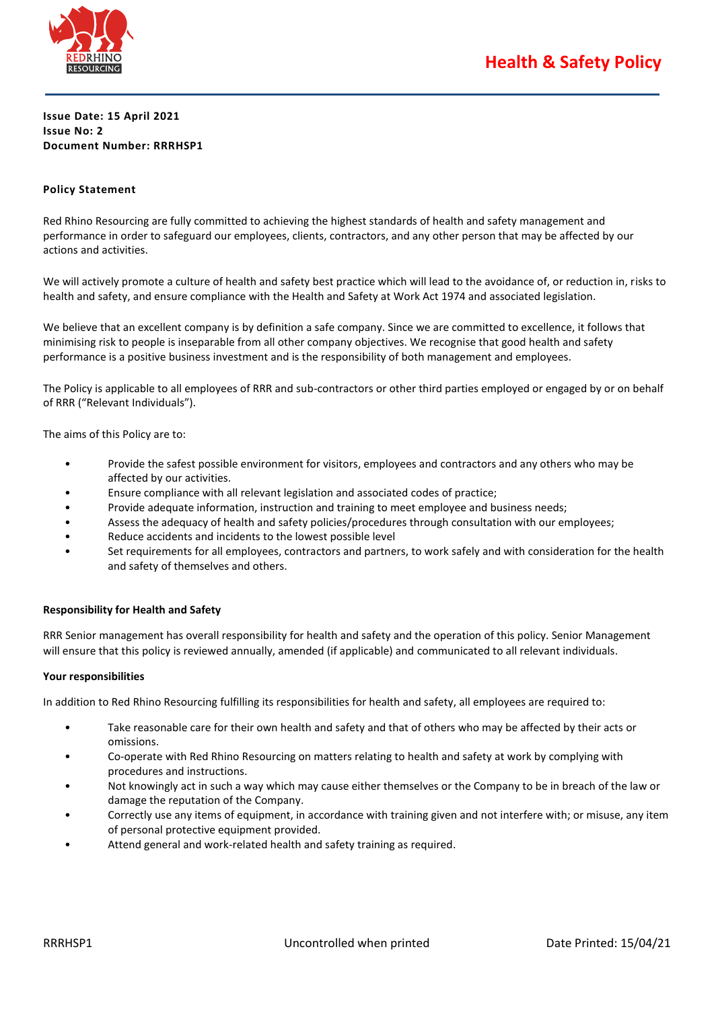

## **Issue Date: 15 April 2021 Issue No: 2 Document Number: RRRHSP1**

# **Policy Statement**

Red Rhino Resourcing are fully committed to achieving the highest standards of health and safety management and performance in order to safeguard our employees, clients, contractors, and any other person that may be affected by our actions and activities.

We will actively promote a culture of health and safety best practice which will lead to the avoidance of, or reduction in, risks to health and safety, and ensure compliance with the Health and Safety at Work Act 1974 and associated legislation.

We believe that an excellent company is by definition a safe company. Since we are committed to excellence, it follows that minimising risk to people is inseparable from all other company objectives. We recognise that good health and safety performance is a positive business investment and is the responsibility of both management and employees.

The Policy is applicable to all employees of RRR and sub-contractors or other third parties employed or engaged by or on behalf of RRR ("Relevant Individuals").

The aims of this Policy are to:

- Provide the safest possible environment for visitors, employees and contractors and any others who may be affected by our activities.
- Ensure compliance with all relevant legislation and associated codes of practice;
- Provide adequate information, instruction and training to meet employee and business needs;
- Assess the adequacy of health and safety policies/procedures through consultation with our employees;
- Reduce accidents and incidents to the lowest possible level
- Set requirements for all employees, contractors and partners, to work safely and with consideration for the health and safety of themselves and others.

## **Responsibility for Health and Safety**

RRR Senior management has overall responsibility for health and safety and the operation of this policy. Senior Management will ensure that this policy is reviewed annually, amended (if applicable) and communicated to all relevant individuals.

#### **Your responsibilities**

In addition to Red Rhino Resourcing fulfilling its responsibilities for health and safety, all employees are required to:

- Take reasonable care for their own health and safety and that of others who may be affected by their acts or omissions.
- Co-operate with Red Rhino Resourcing on matters relating to health and safety at work by complying with procedures and instructions.
- Not knowingly act in such a way which may cause either themselves or the Company to be in breach of the law or damage the reputation of the Company.
- Correctly use any items of equipment, in accordance with training given and not interfere with; or misuse, any item of personal protective equipment provided.
- Attend general and work-related health and safety training as required.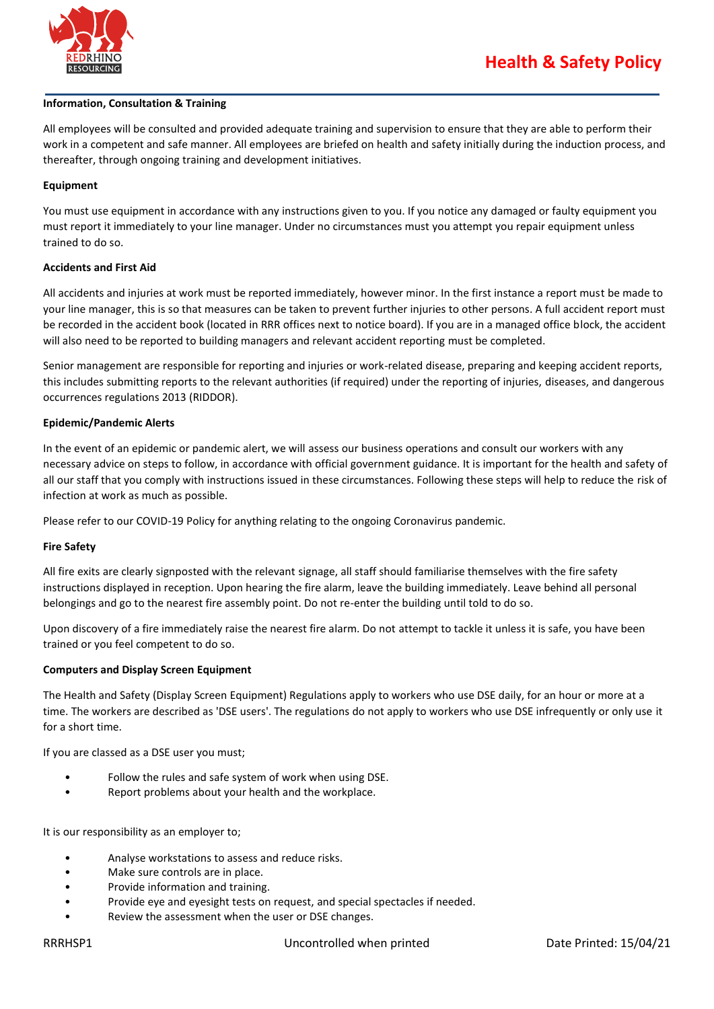

#### **Information, Consultation & Training**

All employees will be consulted and provided adequate training and supervision to ensure that they are able to perform their work in a competent and safe manner. All employees are briefed on health and safety initially during the induction process, and thereafter, through ongoing training and development initiatives.

#### **Equipment**

You must use equipment in accordance with any instructions given to you. If you notice any damaged or faulty equipment you must report it immediately to your line manager. Under no circumstances must you attempt you repair equipment unless trained to do so.

### **Accidents and First Aid**

All accidents and injuries at work must be reported immediately, however minor. In the first instance a report must be made to your line manager, this is so that measures can be taken to prevent further injuries to other persons. A full accident report must be recorded in the accident book (located in RRR offices next to notice board). If you are in a managed office block, the accident will also need to be reported to building managers and relevant accident reporting must be completed.

Senior management are responsible for reporting and injuries or work-related disease, preparing and keeping accident reports, this includes submitting reports to the relevant authorities (if required) under the reporting of injuries, diseases, and dangerous occurrences regulations 2013 (RIDDOR).

#### **Epidemic/Pandemic Alerts**

In the event of an epidemic or pandemic alert, we will assess our business operations and consult our workers with any necessary advice on steps to follow, in accordance with official government guidance. It is important for the health and safety of all our staff that you comply with instructions issued in these circumstances. Following these steps will help to reduce the risk of infection at work as much as possible.

Please refer to our COVID-19 Policy for anything relating to the ongoing Coronavirus pandemic.

#### **Fire Safety**

All fire exits are clearly signposted with the relevant signage, all staff should familiarise themselves with the fire safety instructions displayed in reception. Upon hearing the fire alarm, leave the building immediately. Leave behind all personal belongings and go to the nearest fire assembly point. Do not re-enter the building until told to do so.

Upon discovery of a fire immediately raise the nearest fire alarm. Do not attempt to tackle it unless it is safe, you have been trained or you feel competent to do so.

#### **Computers and Display Screen Equipment**

The Health and Safety (Display Screen Equipment) Regulations apply to workers who use DSE daily, for an hour or more at a time. The workers are described as 'DSE users'. The regulations do not apply to workers who use DSE infrequently or only use it for a short time.

If you are classed as a DSE user you must;

- Follow the rules and safe system of work when using DSE.
- Report problems about your health and the workplace.

It is our responsibility as an employer to;

- Analyse workstations to assess and reduce risks.
- Make sure controls are in place.
- Provide information and training.
- Provide eye and eyesight tests on request, and special spectacles if needed.
- Review the assessment when the user or DSE changes.